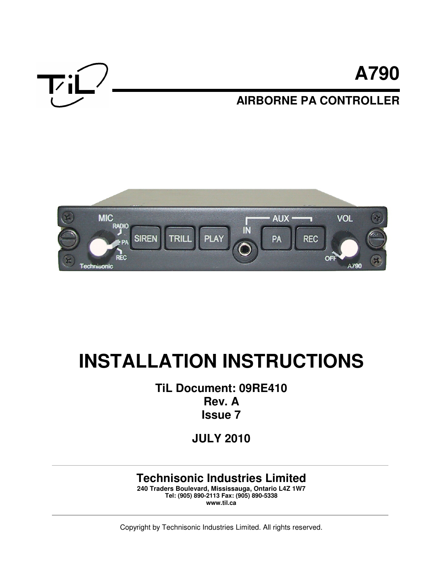



# **INSTALLATION INSTRUCTIONS**

**TiL Document: 09RE410 Rev. A Issue 7**

**JULY 2010**

# **Technisonic Industries Limited**

**240 Traders Boulevard, Mississauga, Ontario L4Z 1W7 Tel: (905) 890-2113 Fax: (905) 890-5338 www.til.ca** 

Copyright by Technisonic Industries Limited. All rights reserved.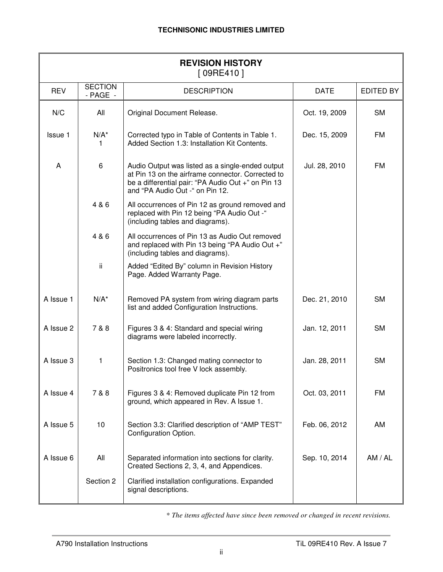| <b>REVISION HISTORY</b><br>[09RE410] |                                |                                                                                                                                                                                                |                            |           |  |  |
|--------------------------------------|--------------------------------|------------------------------------------------------------------------------------------------------------------------------------------------------------------------------------------------|----------------------------|-----------|--|--|
| <b>REV</b>                           | <b>SECTION</b><br>$-$ PAGE $-$ | <b>DESCRIPTION</b>                                                                                                                                                                             | <b>DATE</b>                | EDITED BY |  |  |
| N/C                                  | All                            | Original Document Release.                                                                                                                                                                     | Oct. 19, 2009              | <b>SM</b> |  |  |
| Issue 1                              | $N/A^*$<br>1                   | Corrected typo in Table of Contents in Table 1.<br>Added Section 1.3: Installation Kit Contents.                                                                                               | FM<br>Dec. 15, 2009        |           |  |  |
| A                                    | 6                              | Audio Output was listed as a single-ended output<br>at Pin 13 on the airframe connector. Corrected to<br>be a differential pair: "PA Audio Out +" on Pin 13<br>and "PA Audio Out -" on Pin 12. | Jul. 28, 2010              | <b>FM</b> |  |  |
|                                      | 4 & 6                          | All occurrences of Pin 12 as ground removed and<br>replaced with Pin 12 being "PA Audio Out -"<br>(including tables and diagrams).                                                             |                            |           |  |  |
|                                      | 4 & 6                          | All occurrences of Pin 13 as Audio Out removed<br>and replaced with Pin 13 being "PA Audio Out +"<br>(including tables and diagrams).                                                          |                            |           |  |  |
|                                      | ii.                            | Added "Edited By" column in Revision History<br>Page. Added Warranty Page.                                                                                                                     |                            |           |  |  |
| A Issue 1                            | $N/A^*$                        | Removed PA system from wiring diagram parts<br>list and added Configuration Instructions.                                                                                                      | Dec. 21, 2010              | <b>SM</b> |  |  |
| A Issue 2                            | 7 & 8                          | Figures 3 & 4: Standard and special wiring<br>diagrams were labeled incorrectly.                                                                                                               | <b>SM</b><br>Jan. 12, 2011 |           |  |  |
| A Issue 3                            | 1                              | Section 1.3: Changed mating connector to<br>Positronics tool free V lock assembly.                                                                                                             | Jan. 28, 2011              | <b>SM</b> |  |  |
| A Issue 4                            | 7 & 8                          | Figures 3 & 4: Removed duplicate Pin 12 from<br>ground, which appeared in Rev. A Issue 1.                                                                                                      | Oct. 03, 2011              | FM        |  |  |
| A Issue 5                            | 10                             | Section 3.3: Clarified description of "AMP TEST"<br>Feb. 06, 2012<br>Configuration Option.                                                                                                     |                            | AM        |  |  |
| A Issue 6                            | All                            | Separated information into sections for clarity.<br>Sep. 10, 2014<br>Created Sections 2, 3, 4, and Appendices.                                                                                 |                            | AM / AL   |  |  |
|                                      | Section 2                      | Clarified installation configurations. Expanded<br>signal descriptions.                                                                                                                        |                            |           |  |  |

\* *The items affected have since been removed or changed in recent revisions.*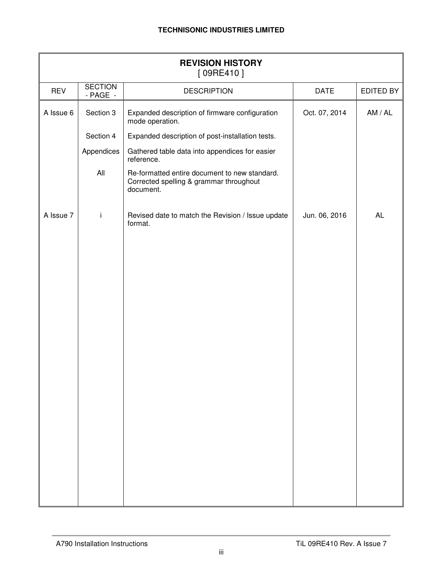| <b>REVISION HISTORY</b><br>[09RE410] |                                |                                                                                                       |               |           |  |  |
|--------------------------------------|--------------------------------|-------------------------------------------------------------------------------------------------------|---------------|-----------|--|--|
| <b>REV</b>                           | <b>SECTION</b><br>$-$ PAGE $-$ | <b>DESCRIPTION</b>                                                                                    | <b>DATE</b>   | EDITED BY |  |  |
| A Issue 6                            | Section 3                      | Expanded description of firmware configuration<br>mode operation.                                     | Oct. 07, 2014 | AM / AL   |  |  |
|                                      | Section 4                      | Expanded description of post-installation tests.                                                      |               |           |  |  |
|                                      | Appendices                     | Gathered table data into appendices for easier<br>reference.                                          |               |           |  |  |
|                                      | All                            | Re-formatted entire document to new standard.<br>Corrected spelling & grammar throughout<br>document. |               |           |  |  |
| A Issue 7                            | İ                              | Revised date to match the Revision / Issue update<br>format.                                          | Jun. 06, 2016 | <b>AL</b> |  |  |
|                                      |                                |                                                                                                       |               |           |  |  |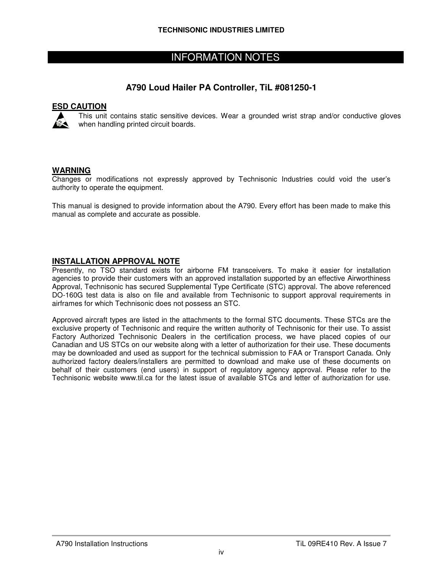## INFORMATION NOTES

#### **A790 Loud Hailer PA Controller, TiL #081250-1**

#### **ESD CAUTION**



This unit contains static sensitive devices. Wear a grounded wrist strap and/or conductive gloves when handling printed circuit boards.

#### **WARNING**

Changes or modifications not expressly approved by Technisonic Industries could void the user's authority to operate the equipment.

This manual is designed to provide information about the A790. Every effort has been made to make this manual as complete and accurate as possible.

#### **INSTALLATION APPROVAL NOTE**

Presently, no TSO standard exists for airborne FM transceivers. To make it easier for installation agencies to provide their customers with an approved installation supported by an effective Airworthiness Approval, Technisonic has secured Supplemental Type Certificate (STC) approval. The above referenced DO-160G test data is also on file and available from Technisonic to support approval requirements in airframes for which Technisonic does not possess an STC.

Approved aircraft types are listed in the attachments to the formal STC documents. These STCs are the exclusive property of Technisonic and require the written authority of Technisonic for their use. To assist Factory Authorized Technisonic Dealers in the certification process, we have placed copies of our Canadian and US STCs on our website along with a letter of authorization for their use. These documents may be downloaded and used as support for the technical submission to FAA or Transport Canada. Only authorized factory dealers/installers are permitted to download and make use of these documents on behalf of their customers (end users) in support of regulatory agency approval. Please refer to the Technisonic website www.til.ca for the latest issue of available STCs and letter of authorization for use.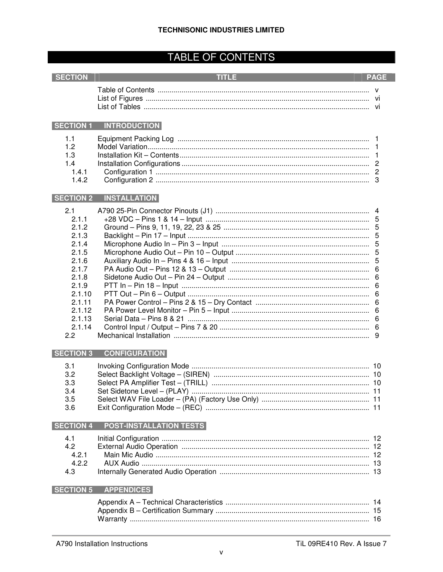# **TABLE OF CONTENTS**

#### SECTION

#### *Contract TITLE Contract of the Second* **Second**

#### **Example 19 PAGE**

| List of Tables . |  |
|------------------|--|

#### SECTION 1 INTRODUCTION

| 1.1 |  |
|-----|--|
| 1.2 |  |
| 1.3 |  |
|     |  |
|     |  |
|     |  |

#### SECTION 2 INSTALLATION

| 2.1    |  |
|--------|--|
| 211    |  |
| 2.1.2  |  |
| 2.1.3  |  |
| 2.1.4  |  |
| 2.1.5  |  |
| 2.1.6  |  |
| 2.1.7  |  |
| 2.1.8  |  |
| 2.1.9  |  |
| 2.1.10 |  |
| 2.1.11 |  |
| 2.1.12 |  |
| 2.1.13 |  |
| 2.1.14 |  |
| 2.2    |  |

#### SECTION 3 CONFIGURATION

| 3.1  |  |
|------|--|
| 3.2  |  |
| 3.3  |  |
| 3.4  |  |
| 3.5  |  |
| -3.6 |  |

#### SECTION 4 POST-INSTALLATION TESTS

| 4.3 |  |
|-----|--|

#### SECTION 5 APPENDICES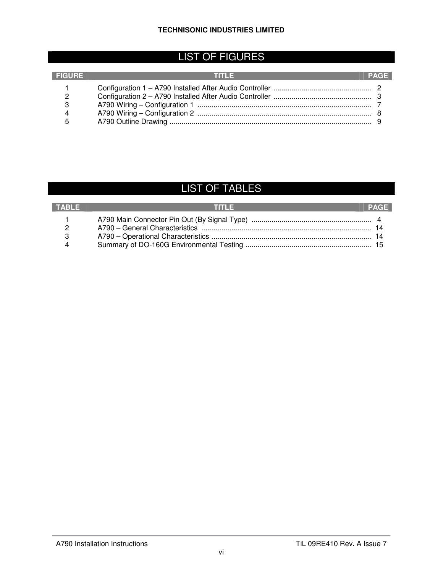# LIST OF FIGURES

| <b>FIGURE</b> | n in Let |  |
|---------------|----------|--|
|               |          |  |
|               |          |  |
| 3             |          |  |
|               |          |  |
| 5             |          |  |

# LIST OF TABLES

| TABLE | <b>THEFT</b> | PAGE |
|-------|--------------|------|
|       |              |      |
|       |              |      |
|       |              |      |
|       |              |      |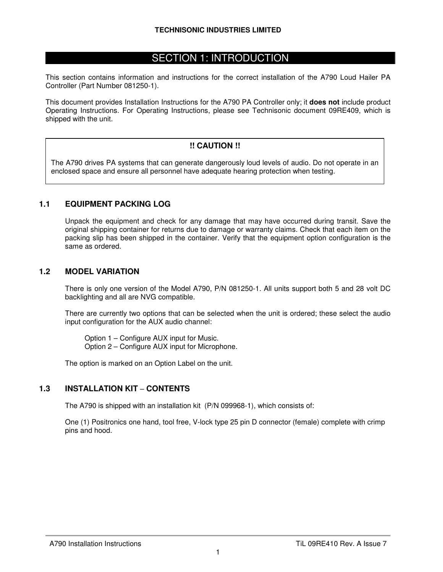## SECTION 1: INTRODUCTION

This section contains information and instructions for the correct installation of the A790 Loud Hailer PA Controller (Part Number 081250-1).

This document provides Installation Instructions for the A790 PA Controller only; it **does not** include product Operating Instructions. For Operating Instructions, please see Technisonic document 09RE409, which is shipped with the unit.

#### **!! CAUTION !!**

The A790 drives PA systems that can generate dangerously loud levels of audio. Do not operate in an enclosed space and ensure all personnel have adequate hearing protection when testing.

#### **1.1 EQUIPMENT PACKING LOG**

Unpack the equipment and check for any damage that may have occurred during transit. Save the original shipping container for returns due to damage or warranty claims. Check that each item on the packing slip has been shipped in the container. Verify that the equipment option configuration is the same as ordered.

#### **1.2 MODEL VARIATION**

There is only one version of the Model A790, P/N 081250-1. All units support both 5 and 28 volt DC backlighting and all are NVG compatible.

There are currently two options that can be selected when the unit is ordered; these select the audio input configuration for the AUX audio channel:

Option 1 – Configure AUX input for Music. Option 2 – Configure AUX input for Microphone.

The option is marked on an Option Label on the unit.

#### **1.3 INSTALLATION KIT** – **CONTENTS**

The A790 is shipped with an installation kit (P/N 099968-1), which consists of:

One (1) Positronics one hand, tool free, V-lock type 25 pin D connector (female) complete with crimp pins and hood.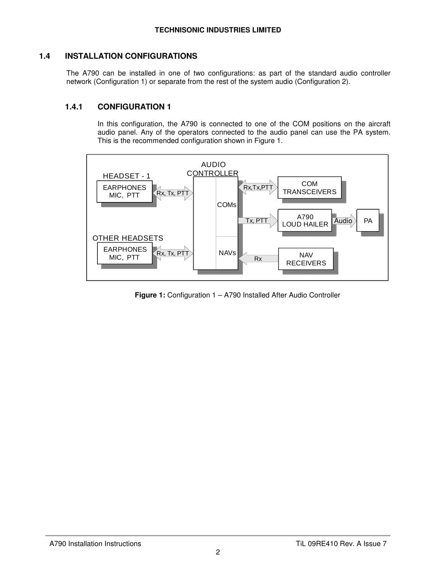#### **1.4 INSTALLATION CONFIGURATIONS**

The A790 can be installed in one of two configurations: as part of the standard audio controller network (Configuration 1) or separate from the rest of the system audio (Configuration 2).

#### **1.4.1 CONFIGURATION 1**

In this configuration, the A790 is connected to one of the COM positions on the aircraft audio panel. Any of the operators connected to the audio panel can use the PA system. This is the recommended configuration shown in Figure 1.



**Figure 1:** Configuration 1 – A790 Installed After Audio Controller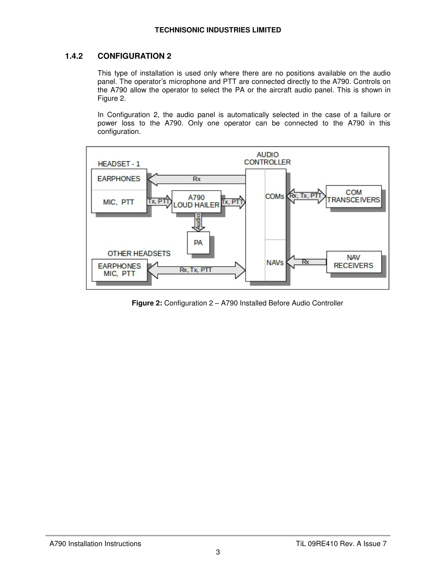#### **1.4.2 CONFIGURATION 2**

This type of installation is used only where there are no positions available on the audio panel. The operator's microphone and PTT are connected directly to the A790. Controls on the A790 allow the operator to select the PA or the aircraft audio panel. This is shown in Figure 2.

In Configuration 2, the audio panel is automatically selected in the case of a failure or power loss to the A790. Only one operator can be connected to the A790 in this configuration.



**Figure 2:** Configuration 2 – A790 Installed Before Audio Controller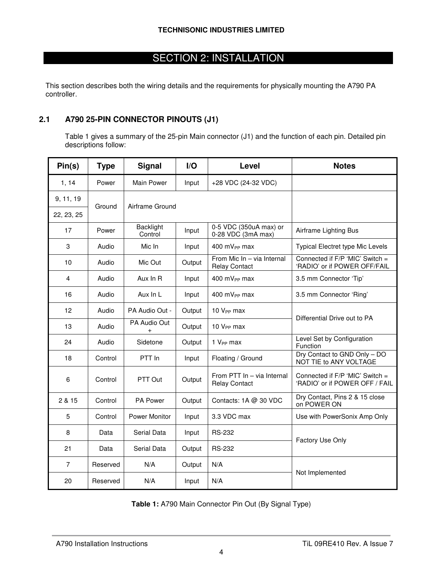# SECTION 2: INSTALLATION

This section describes both the wiring details and the requirements for physically mounting the A790 PA controller.

#### **2.1 A790 25-PIN CONNECTOR PINOUTS (J1)**

 Table 1 gives a summary of the 25-pin Main connector (J1) and the function of each pin. Detailed pin descriptions follow:

| Pin(s)     | <b>Type</b> | <b>Signal</b>               | $\mathsf{I}/\mathsf{O}$ | Level                                              | <b>Notes</b>                                                      |
|------------|-------------|-----------------------------|-------------------------|----------------------------------------------------|-------------------------------------------------------------------|
| 1, 14      | Power       | Main Power                  | Input                   | +28 VDC (24-32 VDC)                                |                                                                   |
| 9, 11, 19  | Ground      | Airframe Ground             |                         |                                                    |                                                                   |
| 22, 23, 25 |             |                             |                         |                                                    |                                                                   |
| 17         | Power       | <b>Backlight</b><br>Control | Input                   | 0-5 VDC (350uA max) or<br>0-28 VDC (3mA max)       | Airframe Lighting Bus                                             |
| 3          | Audio       | Mic In                      | Input                   | 400 mV <sub>PP</sub> max                           | Typical Electret type Mic Levels                                  |
| 10         | Audio       | Mic Out                     | Output                  | From Mic In - via Internal<br><b>Relay Contact</b> | Connected if F/P 'MIC' Switch =<br>'RADIO' or if POWER OFF/FAIL   |
| 4          | Audio       | Aux In R                    | Input                   | 400 mV <sub>PP</sub> max                           | 3.5 mm Connector 'Tip'                                            |
| 16         | Audio       | Aux In L                    | Input                   | 400 $mV_{PP}$ max                                  | 3.5 mm Connector 'Ring'                                           |
| 12         | Audio       | PA Audio Out -              | Output                  | 10 V <sub>PP</sub> max                             | Differential Drive out to PA                                      |
| 13         | Audio       | PA Audio Out<br>$\ddot{}$   | Output                  | 10 V <sub>PP</sub> max                             |                                                                   |
| 24         | Audio       | Sidetone                    | Output                  | 1 V <sub>PP</sub> max                              | Level Set by Configuration<br>Function                            |
| 18         | Control     | PTT In                      | Input                   | Floating / Ground                                  | Dry Contact to GND Only - DO<br>NOT TIE to ANY VOLTAGE            |
| 6          | Control     | PTT Out                     | Output                  | From PTT In - via Internal<br><b>Relay Contact</b> | Connected if F/P 'MIC' Switch =<br>'RADIO' or if POWER OFF / FAIL |
| 2 & 15     | Control     | <b>PA Power</b>             | Output                  | Contacts: $1A \ @ \ 30 \ VDC$                      | Dry Contact, Pins 2 & 15 close<br>on POWER ON                     |
| 5          | Control     | Power Monitor               | Input                   | 3.3 VDC max                                        | Use with PowerSonix Amp Only                                      |
| 8          | Data        | Serial Data                 | Input                   | <b>RS-232</b>                                      |                                                                   |
| 21         | Data        | Serial Data                 | Output                  | <b>RS-232</b>                                      | Factory Use Only                                                  |
| 7          | Reserved    | N/A                         | Output                  | N/A                                                |                                                                   |
| 20         | Reserved    | N/A                         | Input                   | N/A                                                | Not Implemented                                                   |

**Table 1:** A790 Main Connector Pin Out (By Signal Type)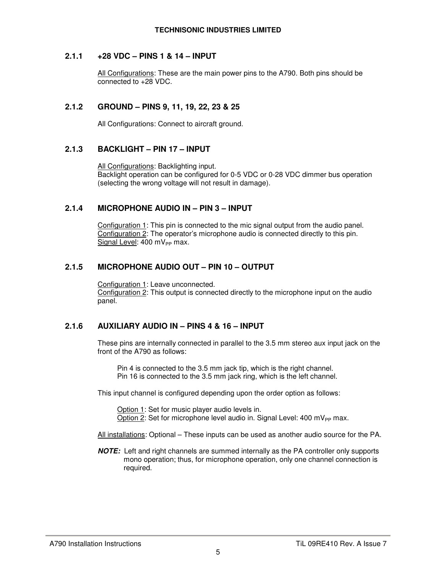#### **2.1.1 +28 VDC – PINS 1 & 14 – INPUT**

All Configurations: These are the main power pins to the A790. Both pins should be connected to +28 VDC.

#### **2.1.2 GROUND – PINS 9, 11, 19, 22, 23 & 25**

All Configurations: Connect to aircraft ground.

#### **2.1.3 BACKLIGHT – PIN 17 – INPUT**

All Configurations: Backlighting input. Backlight operation can be configured for 0-5 VDC or 0-28 VDC dimmer bus operation (selecting the wrong voltage will not result in damage).

#### **2.1.4 MICROPHONE AUDIO IN – PIN 3 – INPUT**

Configuration 1: This pin is connected to the mic signal output from the audio panel. Configuration 2: The operator's microphone audio is connected directly to this pin. Signal Level:  $400$  mV<sub>PP</sub> max.

#### **2.1.5 MICROPHONE AUDIO OUT – PIN 10 – OUTPUT**

Configuration 1: Leave unconnected. Configuration 2: This output is connected directly to the microphone input on the audio panel.

#### **2.1.6 AUXILIARY AUDIO IN – PINS 4 & 16 – INPUT**

These pins are internally connected in parallel to the 3.5 mm stereo aux input jack on the front of the A790 as follows:

 Pin 4 is connected to the 3.5 mm jack tip, which is the right channel. Pin 16 is connected to the 3.5 mm jack ring, which is the left channel.

This input channel is configured depending upon the order option as follows:

 Option 1: Set for music player audio levels in. Option 2: Set for microphone level audio in. Signal Level:  $400 \text{ mV}_{PP}$  max.

All installations: Optional – These inputs can be used as another audio source for the PA.

**NOTE:** Left and right channels are summed internally as the PA controller only supports mono operation; thus, for microphone operation, only one channel connection is required.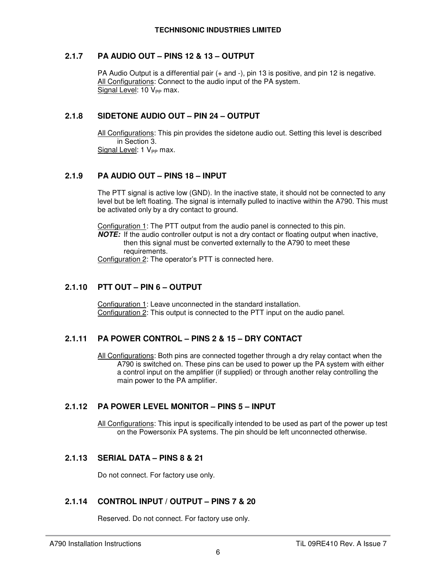#### **2.1.7 PA AUDIO OUT – PINS 12 & 13 – OUTPUT**

PA Audio Output is a differential pair (+ and -), pin 13 is positive, and pin 12 is negative. All Configurations: Connect to the audio input of the PA system. Signal Level:  $10 V_{PP}$  max.

#### **2.1.8 SIDETONE AUDIO OUT – PIN 24 – OUTPUT**

All Configurations: This pin provides the sidetone audio out. Setting this level is described in Section 3. Signal Level:  $1 V_{PP}$  max.

#### **2.1.9 PA AUDIO OUT – PINS 18 – INPUT**

The PTT signal is active low (GND). In the inactive state, it should not be connected to any level but be left floating. The signal is internally pulled to inactive within the A790. This must be activated only by a dry contact to ground.

Configuration 1: The PTT output from the audio panel is connected to this pin. **NOTE:** If the audio controller output is not a dry contact or floating output when inactive, then this signal must be converted externally to the A790 to meet these

requirements.

Configuration 2: The operator's PTT is connected here.

#### **2.1.10 PTT OUT – PIN 6 – OUTPUT**

Configuration 1: Leave unconnected in the standard installation. Configuration 2: This output is connected to the PTT input on the audio panel.

#### **2.1.11 PA POWER CONTROL – PINS 2 & 15 – DRY CONTACT**

All Configurations: Both pins are connected together through a dry relay contact when the A790 is switched on. These pins can be used to power up the PA system with either a control input on the amplifier (if supplied) or through another relay controlling the main power to the PA amplifier.

#### **2.1.12 PA POWER LEVEL MONITOR – PINS 5 – INPUT**

All Configurations: This input is specifically intended to be used as part of the power up test on the Powersonix PA systems. The pin should be left unconnected otherwise.

#### **2.1.13 SERIAL DATA – PINS 8 & 21**

Do not connect. For factory use only.

#### **2.1.14 CONTROL INPUT / OUTPUT – PINS 7 & 20**

Reserved. Do not connect. For factory use only.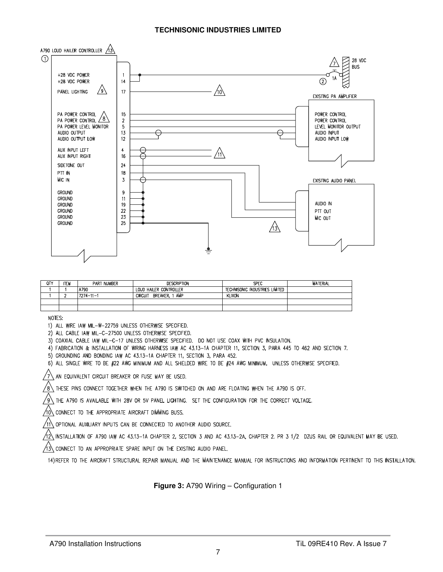

| 0TY | ITEM | PART NUMBER     | <b>DESCRIPTION</b>                | SPEC                           | <b>MATERIAL</b> |
|-----|------|-----------------|-----------------------------------|--------------------------------|-----------------|
|     |      | A790            | LOUD HAILER CONTROLLER            | Technisonic industries limited |                 |
|     |      | $7274 - 11 - 1$ | AMP<br>BREAKER.<br><b>CIRCUIT</b> | <b>KLIXON</b>                  |                 |
|     |      |                 |                                   |                                |                 |
|     |      |                 |                                   |                                |                 |

NOTES:

1) ALL WIRE IAW MIL-W-22759 UNLESS OTHERWISE SPECIFIED.

2) ALL CABLE IAW MIL-C-27500 UNLESS OTHERWISE SPECIFIED.

3) COAXIAL CABLE IAW MIL-C-17 UNLESS OTHERWISE SPECIFIED. DO NOT USE COAX WITH PVC INSULATION.

4) FABRICATION & INSTALLATION OF WIRING HARNESS IAW AC 43.13-1A CHAPTER 11, SECTION 3, PARA 445 TO 462 AND SECTION 7.

5) GROUNDING AND BONDING IAW AC 43.13-1A CHAPTER 11, SECTION 3, PARA 452.

6) ALL SINGLE WIRE TO BE #22 AWG MINIMUM AND ALL SHIELDED WIRE TO BE #24 AWG MINIMUM, UNLESS OTHERWISE SPECIFIED.

 $\sqrt{7}$  an equivalent circuit breaker or fuse may be used.

 $/8\backslash$  THESE PINS CONNECT TOGETHER WHEN THE A790 IS SWITCHED ON AND ARE FLOATING WHEN THE A790 IS OFF.

/g\ THE A790 IS AVAILABLE WITH 28V OR 5V PANEL LIGHTING. SET THE CONFIGURATION FOR THE CORRECT VOLTAGE.

 $\sqrt{10}$  connect to the appropriate aircraft dimining buss.

 $/$ 11\ Optional auxiliary inputs can be connected to another audio source.

 $\sqrt{2}$  installation of A790 iaw AC 43.13-1A CHAPTER 2, SECTION 3 AND AC 43.13-2A, CHAPTER 2. PR 3 1/2 DZUS RAIL OR EQUIVALENT MAY BE USED.

 $\sqrt{13} \backslash$  connect to an appropriate spare input on the existing audio panel.

14) REFER TO THE AIRCRAFT STRUCTURAL REPAIR MANUAL AND THE MAINTENANCE MANUAL FOR INSTRUCTIONS AND INFORMATION PERTINENT TO THIS INSTALLATION.

**Figure 3:** A790 Wiring – Configuration 1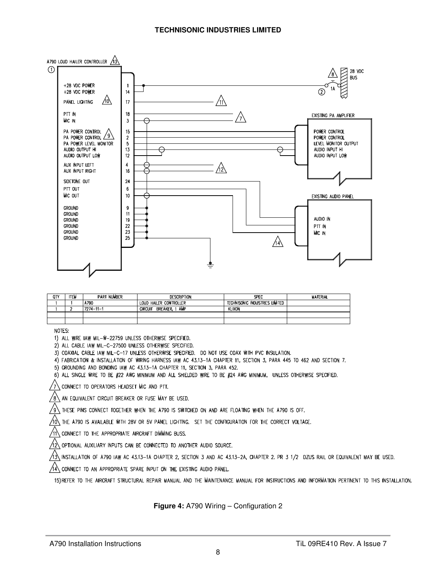

| QΤΥ | ΠIJ | <b>PART NUMBER</b> | <b>DESCRIPTION</b>                      | SPLC                           | <b>MATERIAL</b> |
|-----|-----|--------------------|-----------------------------------------|--------------------------------|-----------------|
|     |     | A790               | LOUD HAILER CONTROLLER                  | Technisonic industries limited |                 |
|     |     | 7274-11-1          | l AMP<br><b>BREAKER</b><br><b>CROUT</b> | <b>KLIXON</b>                  |                 |
|     |     |                    |                                         |                                |                 |
|     |     |                    |                                         |                                |                 |

NOTES:

1) ALL WIRE IAW MIL-W-22759 UNLESS OTHERWISE SPECIFIED.

2) ALL CABLE IAW MIL-C-27500 UNLESS OTHERWISE SPECIFIED.

3) COAXIAL CABLE IAW MIL-C-17 UNLESS OTHERWISE SPECIFIED. DO NOT USE COAX WITH PVC INSULATION.

4) FABRICATION & INSTALLATION OF WIRING HARNESS IAW AC 43.13-1A CHAPTER 11, SECTION 3, PARA 445 TO 462 AND SECTION 7.

5) GROUNDING AND BONDING IAW AC 43.13-1A CHAPTER 11, SECTION 3, PARA 452.

6) ALL SINGLE WIRE TO BE #22 AWG MINIMUM AND ALL SHIELDED WIRE TO BE #24 AWG MINIMUM, UNLESS OTHERWISE SPECIFIED.

 $/7\backslash$  connect to operators headset Mic and PTT.

 $/8\backslash$  an equivalent circuit breaker or fuse May be used.

 $/$ 9 $\backslash$  These pins connect together when the A790 is switched on and are floating when the A790 is off.

 $/$ 10\ THE A790 IS AVAILABLE WITH 28V OR 5V PANEL LIGHTING. SET THE CONFIGURATION FOR THE CORRECT VOLTAGE.

⁄ı∖ CONNECT TO THE APPROPRIATE AIRCRAFT DIMMING BUSS.

 $\sqrt{2}$  optional auxiliary inputs can be connected to another audio source.

∕13∖INSTALLATION OF A790 IAW AC 43.13-1A CHAPTER 2, SECTION 3 AND AC 43.13-2A, CHAPTER 2. PR 3 1/2 DZUS RAIL OR EQUIVALENT MAY BE USED.

 $\overline{\Delta}$  connect to an appropriate spare input on the existing audio panel.

15) REFER TO THE AIRCRAFT STRUCTURAL REPAIR MANUAL AND THE MAINTENANCE MANUAL FOR INSTRUCTIONS AND INFORMATION PERTINENT TO THIS INSTALLATION.

**Figure 4:** A790 Wiring – Configuration 2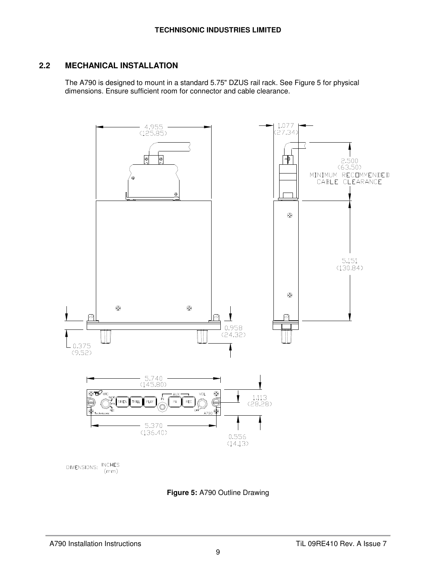#### **2.2 MECHANICAL INSTALLATION**

The A790 is designed to mount in a standard 5.75" DZUS rail rack. See Figure 5 for physical dimensions. Ensure sufficient room for connector and cable clearance.



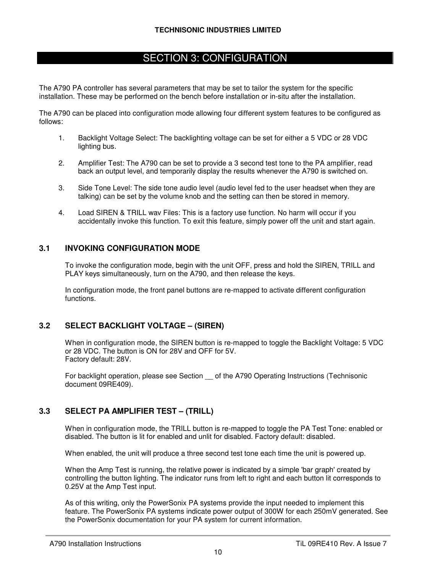## SECTION 3: CONFIGURATION

The A790 PA controller has several parameters that may be set to tailor the system for the specific installation. These may be performed on the bench before installation or in-situ after the installation.

The A790 can be placed into configuration mode allowing four different system features to be configured as follows:

- 1. Backlight Voltage Select: The backlighting voltage can be set for either a 5 VDC or 28 VDC lighting bus.
- 2. Amplifier Test: The A790 can be set to provide a 3 second test tone to the PA amplifier, read back an output level, and temporarily display the results whenever the A790 is switched on.
- 3. Side Tone Level: The side tone audio level (audio level fed to the user headset when they are talking) can be set by the volume knob and the setting can then be stored in memory.
- 4. Load SIREN & TRILL wav Files: This is a factory use function. No harm will occur if you accidentally invoke this function. To exit this feature, simply power off the unit and start again.

#### **3.1 INVOKING CONFIGURATION MODE**

To invoke the configuration mode, begin with the unit OFF, press and hold the SIREN, TRILL and PLAY keys simultaneously, turn on the A790, and then release the keys.

In configuration mode, the front panel buttons are re-mapped to activate different configuration functions.

#### **3.2 SELECT BACKLIGHT VOLTAGE – (SIREN)**

When in configuration mode, the SIREN button is re-mapped to toggle the Backlight Voltage: 5 VDC or 28 VDC. The button is ON for 28V and OFF for 5V. Factory default: 28V.

For backlight operation, please see Section \_\_ of the A790 Operating Instructions (Technisonic document 09RE409).

#### **3.3 SELECT PA AMPLIFIER TEST – (TRILL)**

When in configuration mode, the TRILL button is re-mapped to toggle the PA Test Tone: enabled or disabled. The button is lit for enabled and unlit for disabled. Factory default: disabled.

When enabled, the unit will produce a three second test tone each time the unit is powered up.

When the Amp Test is running, the relative power is indicated by a simple 'bar graph' created by controlling the button lighting. The indicator runs from left to right and each button lit corresponds to 0.25V at the Amp Test input.

As of this writing, only the PowerSonix PA systems provide the input needed to implement this feature. The PowerSonix PA systems indicate power output of 300W for each 250mV generated. See the PowerSonix documentation for your PA system for current information.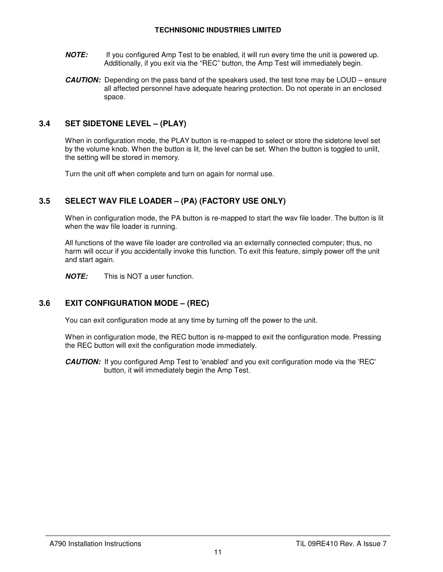#### **TECHNISONIC INDUSTRIES LIMITED**

- **NOTE:** If you configured Amp Test to be enabled, it will run every time the unit is powered up. Additionally, if you exit via the "REC" button, the Amp Test will immediately begin.
- **CAUTION:** Depending on the pass band of the speakers used, the test tone may be LOUD ensure all affected personnel have adequate hearing protection. Do not operate in an enclosed space.

#### **3.4 SET SIDETONE LEVEL – (PLAY)**

When in configuration mode, the PLAY button is re-mapped to select or store the sidetone level set by the volume knob. When the button is lit, the level can be set. When the button is toggled to unlit, the setting will be stored in memory.

Turn the unit off when complete and turn on again for normal use.

#### **3.5 SELECT WAV FILE LOADER – (PA) (FACTORY USE ONLY)**

When in configuration mode, the PA button is re-mapped to start the wav file loader. The button is lit when the wav file loader is running.

All functions of the wave file loader are controlled via an externally connected computer; thus, no harm will occur if you accidentally invoke this function. To exit this feature, simply power off the unit and start again.

**NOTE:** This is NOT a user function.

#### **3.6 EXIT CONFIGURATION MODE – (REC)**

You can exit configuration mode at any time by turning off the power to the unit.

When in configuration mode, the REC button is re-mapped to exit the configuration mode. Pressing the REC button will exit the configuration mode immediately.

**CAUTION:** If you configured Amp Test to 'enabled' and you exit configuration mode via the 'REC' button, it will immediately begin the Amp Test.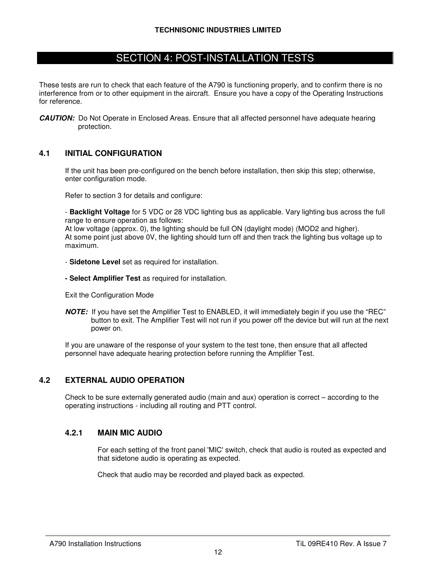## SECTION 4: POST-INSTALLATION TESTS

These tests are run to check that each feature of the A790 is functioning properly, and to confirm there is no interference from or to other equipment in the aircraft. Ensure you have a copy of the Operating Instructions for reference.

**CAUTION:** Do Not Operate in Enclosed Areas. Ensure that all affected personnel have adequate hearing protection.

#### **4.1 INITIAL CONFIGURATION**

If the unit has been pre-configured on the bench before installation, then skip this step; otherwise, enter configuration mode.

Refer to section 3 for details and configure:

- **Backlight Voltage** for 5 VDC or 28 VDC lighting bus as applicable. Vary lighting bus across the full range to ensure operation as follows:

At low voltage (approx. 0), the lighting should be full ON (daylight mode) (MOD2 and higher). At some point just above 0V, the lighting should turn off and then track the lighting bus voltage up to maximum.

- **Sidetone Level** set as required for installation.
- **Select Amplifier Test** as required for installation.

Exit the Configuration Mode

**NOTE:** If you have set the Amplifier Test to ENABLED, it will immediately begin if you use the "REC" button to exit. The Amplifier Test will not run if you power off the device but will run at the next power on.

If you are unaware of the response of your system to the test tone, then ensure that all affected personnel have adequate hearing protection before running the Amplifier Test.

#### **4.2 EXTERNAL AUDIO OPERATION**

Check to be sure externally generated audio (main and aux) operation is correct – according to the operating instructions - including all routing and PTT control.

#### **4.2.1 MAIN MIC AUDIO**

For each setting of the front panel 'MIC' switch, check that audio is routed as expected and that sidetone audio is operating as expected.

Check that audio may be recorded and played back as expected.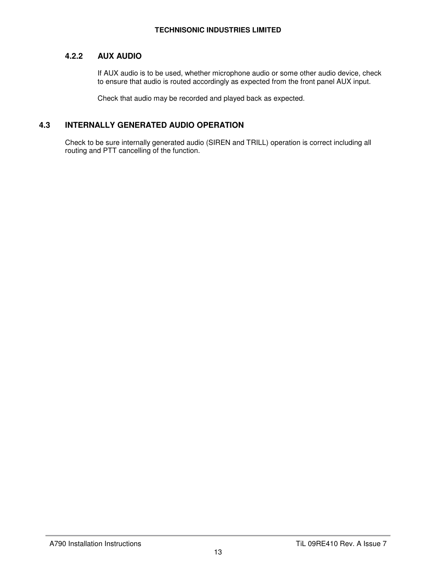#### **4.2.2 AUX AUDIO**

If AUX audio is to be used, whether microphone audio or some other audio device, check to ensure that audio is routed accordingly as expected from the front panel AUX input.

Check that audio may be recorded and played back as expected.

#### **4.3 INTERNALLY GENERATED AUDIO OPERATION**

Check to be sure internally generated audio (SIREN and TRILL) operation is correct including all routing and PTT cancelling of the function.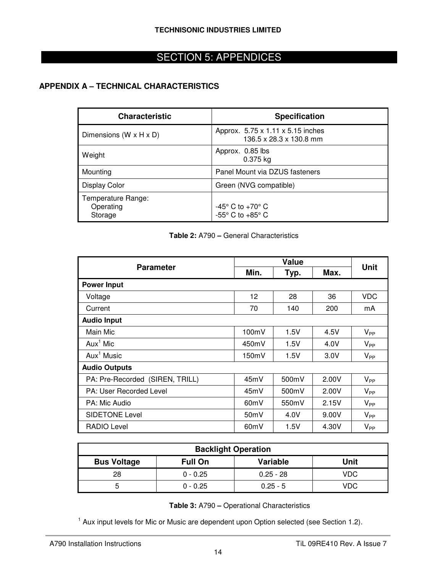# SECTION 5: APPENDICES

#### **APPENDIX A – TECHNICAL CHARACTERISTICS**

| <b>Characteristic</b>                      | <b>Specification</b>                                                     |
|--------------------------------------------|--------------------------------------------------------------------------|
| Dimensions ( $W \times H \times D$ )       | Approx. 5.75 x 1.11 x 5.15 inches<br>136.5 x 28.3 x 130.8 mm             |
| Weight                                     | Approx. 0.85 lbs<br>$0.375$ kg                                           |
| Mounting                                   | Panel Mount via DZUS fasteners                                           |
| <b>Display Color</b>                       | Green (NVG compatible)                                                   |
| Temperature Range:<br>Operating<br>Storage | $-45^{\circ}$ C to $+70^{\circ}$ C<br>$-55^{\circ}$ C to $+85^{\circ}$ C |

#### **Table 2:** A790 **–** General Characteristics

| <b>Parameter</b>                | <b>Value</b>      |       |       |             |
|---------------------------------|-------------------|-------|-------|-------------|
|                                 | Min.              | Typ.  | Max.  | <b>Unit</b> |
| <b>Power Input</b>              |                   |       |       |             |
| Voltage                         | 12                | 28    | 36    | <b>VDC</b>  |
| Current                         | 70                | 140   | 200   | mA          |
| <b>Audio Input</b>              |                   |       |       |             |
| Main Mic                        | 100mV             | 1.5V  | 4.5V  | $V_{PP}$    |
| $Aux^1$ Mic                     | 450mV             | 1.5V  | 4.0V  | $V_{PP}$    |
| $Aux^1$ Music                   | 150mV             | 1.5V  | 3.0V  | $V_{PP}$    |
| <b>Audio Outputs</b>            |                   |       |       |             |
| PA: Pre-Recorded (SIREN, TRILL) | 45mV              | 500mV | 2.00V | $V_{PP}$    |
| PA: User Recorded Level         | 45mV              | 500mV | 2.00V | $V_{PP}$    |
| PA: Mic Audio                   | 60 <sub>m</sub> V | 550mV | 2.15V | $V_{PP}$    |
| <b>SIDETONE Level</b>           | 50mV              | 4.0V  | 9.00V | $V_{PP}$    |
| <b>RADIO Level</b>              | 60 <sub>m</sub> V | 1.5V  | 4.30V | $V_{PP}$    |

| <b>Backlight Operation</b>                              |            |             |      |  |
|---------------------------------------------------------|------------|-------------|------|--|
| <b>Variable</b><br><b>Bus Voltage</b><br><b>Full On</b> |            |             | Unit |  |
| 28                                                      | $0 - 0.25$ | $0.25 - 28$ | VDC  |  |
| n                                                       | $0 - 0.25$ | $0.25 - 5$  | VDC  |  |

**Table 3:** A790 **–** Operational Characteristics

<sup>1</sup> Aux input levels for Mic or Music are dependent upon Option selected (see Section 1.2).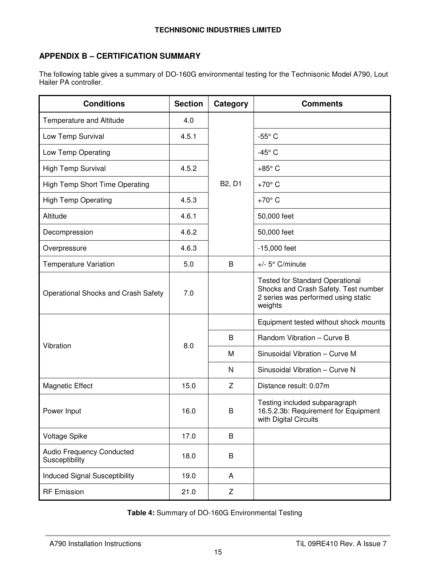#### **APPENDIX B – CERTIFICATION SUMMARY**

The following table gives a summary of DO-160G environmental testing for the Technisonic Model A790, Lout Hailer PA controller.

| <b>Conditions</b>                                  | <b>Section</b> | Category | <b>Comments</b>                                                                                                                  |
|----------------------------------------------------|----------------|----------|----------------------------------------------------------------------------------------------------------------------------------|
| Temperature and Altitude                           | 4.0            |          |                                                                                                                                  |
| Low Temp Survival                                  | 4.5.1          |          | $-55^{\circ}$ C                                                                                                                  |
| Low Temp Operating                                 |                |          | $-45^\circ$ C                                                                                                                    |
| High Temp Survival                                 | 4.5.2          |          | $+85^\circ$ C                                                                                                                    |
| High Temp Short Time Operating                     |                | B2, D1   | $+70^\circ$ C                                                                                                                    |
| <b>High Temp Operating</b>                         | 4.5.3          |          | $+70^{\circ}$ C                                                                                                                  |
| Altitude                                           | 4.6.1          |          | 50,000 feet                                                                                                                      |
| Decompression                                      | 4.6.2          |          | 50,000 feet                                                                                                                      |
| Overpressure                                       | 4.6.3          |          | $-15,000$ feet                                                                                                                   |
| <b>Temperature Variation</b>                       | 5.0            | B        | $+/-$ 5° C/minute                                                                                                                |
| Operational Shocks and Crash Safety                | 7.0            |          | <b>Tested for Standard Operational</b><br>Shocks and Crash Safety. Test number<br>2 series was performed using static<br>weights |
|                                                    | 8.0            |          | Equipment tested without shock mounts                                                                                            |
| Vibration                                          |                | B        | Random Vibration - Curve B                                                                                                       |
|                                                    |                | M        | Sinusoidal Vibration - Curve M                                                                                                   |
|                                                    |                | N        | Sinusoidal Vibration - Curve N                                                                                                   |
| <b>Magnetic Effect</b>                             | 15.0           | Z        | Distance result: 0.07m                                                                                                           |
| Power Input                                        | 16.0           | B        | Testing included subparagraph<br>16.5.2.3b: Requirement for Equipment<br>with Digital Circuits                                   |
| <b>Voltage Spike</b>                               | 17.0           | $\sf B$  |                                                                                                                                  |
| <b>Audio Frequency Conducted</b><br>Susceptibility | 18.0           | B        |                                                                                                                                  |
| <b>Induced Signal Susceptibility</b>               | 19.0           | A        |                                                                                                                                  |
| <b>RF Emission</b>                                 | 21.0           | Z        |                                                                                                                                  |

**Table 4:** Summary of DO-160G Environmental Testing